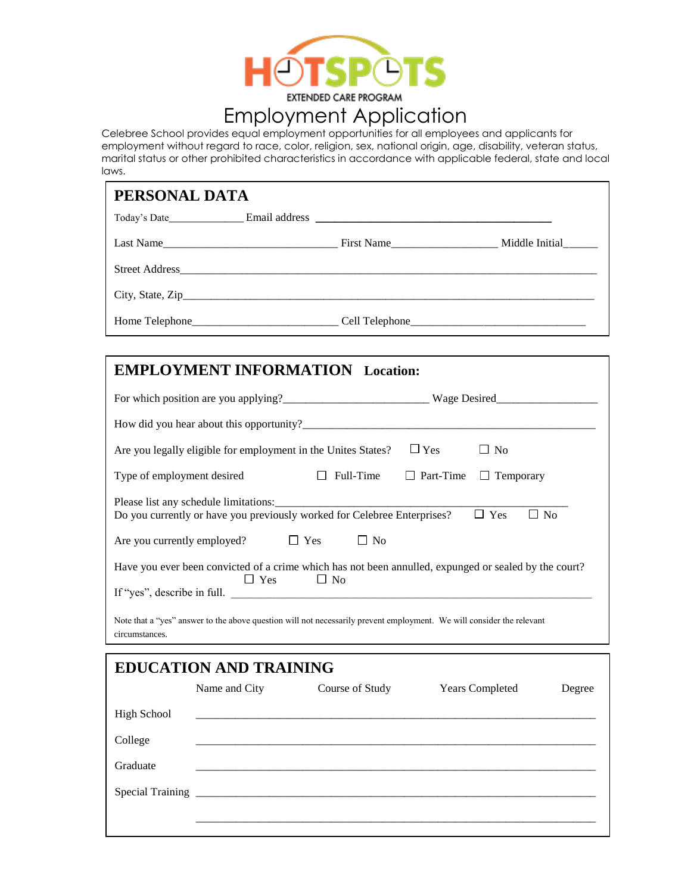

## Employment Application

Celebree School provides equal employment opportunities for all employees and applicants for employment without regard to race, color, religion, sex, national origin, age, disability, veteran status, marital status or other prohibited characteristics in accordance with applicable federal, state and local laws.

## **PERSONAL DATA**

| Today's Date   |            |                |
|----------------|------------|----------------|
| Last Name      | First Name | Middle Initial |
|                |            |                |
|                |            |                |
| Home Telephone |            |                |

| <b>EMPLOYMENT INFORMATION Location:</b>                                                                                                 |                      |                                                                                                       |  |  |
|-----------------------------------------------------------------------------------------------------------------------------------------|----------------------|-------------------------------------------------------------------------------------------------------|--|--|
|                                                                                                                                         |                      |                                                                                                       |  |  |
| How did you hear about this opportunity?                                                                                                |                      |                                                                                                       |  |  |
| Are you legally eligible for employment in the Unites States?                                                                           |                      | $\Box$ Yes<br>$\Box$ No                                                                               |  |  |
| Type of employment desired                                                                                                              |                      | $\Box$ Full-Time $\Box$ Part-Time $\Box$ Temporary                                                    |  |  |
| Do you currently or have you previously worked for Celebree Enterprises?                                                                |                      | $\Box$ Yes<br>$\Box$ No                                                                               |  |  |
| Are you currently employed? $\Box$ Yes                                                                                                  | $\Box$ No            |                                                                                                       |  |  |
| If "yes", describe in full.                                                                                                             | $\Box$ Yes $\Box$ No | Have you ever been convicted of a crime which has not been annulled, expunged or sealed by the court? |  |  |
| Note that a "yes" answer to the above question will not necessarily prevent employment. We will consider the relevant<br>circumstances. |                      |                                                                                                       |  |  |

| <b>EDUCATION AND TRAINING</b> |               |                 |                        |        |  |  |
|-------------------------------|---------------|-----------------|------------------------|--------|--|--|
|                               | Name and City | Course of Study | <b>Years Completed</b> | Degree |  |  |
| High School                   |               |                 |                        |        |  |  |
| College                       |               |                 |                        |        |  |  |
| Graduate                      |               |                 |                        |        |  |  |
|                               |               |                 |                        |        |  |  |
|                               |               |                 |                        |        |  |  |
|                               |               |                 |                        |        |  |  |